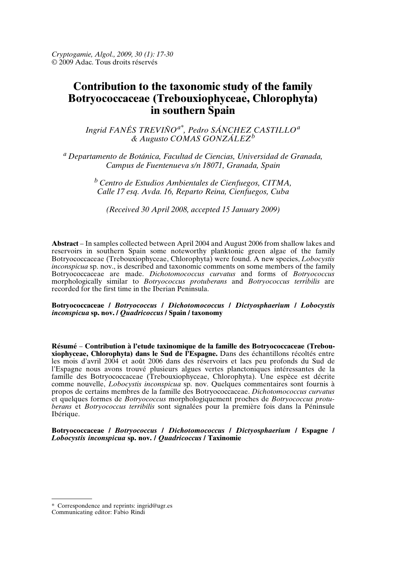*Cryptogamie, Algol., 2009, 30 (1): 17-30* © 2009 Adac. Tous droits réservés

# **Contribution to the taxonomic study of the family Botryococcaceae (Trebouxiophyceae, Chlorophyta) in southern Spain**

*Ingrid FANÉS TREVIÑOa\*, Pedro SÁNCHEZ CASTILLO<sup>a</sup> & Augusto COMAS GONZÁLEZ<sup>b</sup>*

*<sup>a</sup> Departamento de Botánica, Facultad de Ciencias, Universidad de Granada, Campus de Fuentenueva s/n 18071, Granada, Spain*

> *<sup>b</sup> Centro de Estudios Ambientales de Cienfuegos, CITMA, Calle 17 esq. Avda. 16, Reparto Reina, Cienfuegos, Cuba*

*(Received 30 April 2008, accepted 15 January 2009)*

**Abstract** – In samples collected between April 2004 and August 2006 from shallow lakes and reservoirs in southern Spain some noteworthy planktonic green algae of the family Botryococcaceae (Trebouxiophyceae, Chlorophyta) were found. A new species, *Lobocystis inconspicua* sp. nov., is described and taxonomic comments on some members of the family Botryococcaceae are made. *Dichotomococcus curvatus* and forms of *Botryococcus* morphologically similar to *Botryococcus protuberans* and *Botryococcus terribilis* are recorded for the first time in the Iberian Peninsula.

## **Botryococcaceae /** *Botryococcus* **/** *Dichotomococcus* **/** *Dictyosphaerium* **/** *Lobocystis inconspicua* **sp. nov. /** *Quadricoccus* **/ Spain / taxonomy**

**Résumé** – **Contribution à l'etude taxinomique de la famille des Botryococcaceae (Trebouxiophyceae, Chlorophyta) dans le Sud de l'Espagne.** Dans des échantillons récoltés entre les mois d'avril 2004 et août 2006 dans des réservoirs et lacs peu profonds du Sud de l'Espagne nous avons trouvé plusieurs algues vertes planctoniques intéressantes de la famille des Botryococcaceae (Trebouxiophyceae, Chlorophyta). Une espèce est décrite comme nouvelle, *Lobocystis inconspicua* sp. nov. Quelques commentaires sont fournis à propos de certains membres de la famille des Botryococcaceae. *Dichotomococcus curvatus* et quelques formes de *Botryococcus* morphologiquement proches de *Botryococcus protuberans* et *Botryococcus terribilis* sont signalées pour la première fois dans la Péninsule Ibérique.

**Botryococcaceae /** *Botryococcus* **/** *Dichotomococcus* **/** *Dictyosphaerium* **/ Espagne /** *Lobocystis inconspicua* **sp. nov. /** *Quadricoccus* **/ Taxinomie**

<sup>\*</sup> Correspondence and reprints: ingrid@ugr.es

Communicating editor: Fabio Rindi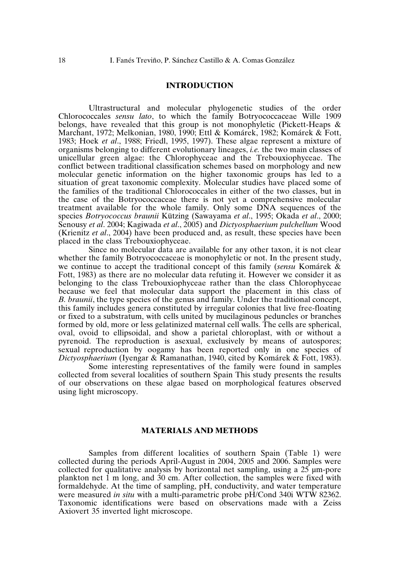## **INTRODUCTION**

Ultrastructural and molecular phylogenetic studies of the order Chlorococcales *sensu lato*, to which the family Botryococcaceae Wille 1909 belongs, have revealed that this group is not monophyletic (Pickett-Heaps & Marchant, 1972; Melkonian, 1980, 1990; Ettl & Komárek, 1982; Komárek & Fott, 1983; Hoek *et al*., 1988; Friedl, 1995, 1997). These algae represent a mixture of organisms belonging to different evolutionary lineages, *i.e.* the two main classes of unicellular green algae: the Chlorophyceae and the Trebouxiophyceae. The conflict between traditional classification schemes based on morphology and new molecular genetic information on the higher taxonomic groups has led to a situation of great taxonomic complexity. Molecular studies have placed some of the families of the traditional Chlorococcales in either of the two classes, but in the case of the Botryococcaceae there is not yet a comprehensive molecular treatment available for the whole family. Only some DNA sequences of the species *Botryococcus braunii* Kützing (Sawayama *et al*., 1995; Okada *et al*., 2000; Senousy *et al*. 2004; Kagiwada *et al*., 2005) and *Dictyosphaerium pulchellum* Wood (Krienitz *et al*., 2004) have been produced and, as result, these species have been placed in the class Trebouxiophyceae.

Since no molecular data are available for any other taxon, it is not clear whether the family Botryococcaceae is monophyletic or not. In the present study, we continue to accept the traditional concept of this family (*sensu* Komárek & Fott, 1983) as there are no molecular data refuting it. However we consider it as belonging to the class Trebouxiophyceae rather than the class Chlorophyceae because we feel that molecular data support the placement in this class of *B. braunii*, the type species of the genus and family. Under the traditional concept, this family includes genera constituted by irregular colonies that live free-floating or fixed to a substratum, with cells united by mucilaginous peduncles or branches formed by old, more or less gelatinized maternal cell walls. The cells are spherical, oval, ovoid to ellipsoidal, and show a parietal chloroplast, with or without a pyrenoid. The reproduction is asexual, exclusively by means of autospores; sexual reproduction by oogamy has been reported only in one species of *Dictyosphaerium* (Iyengar & Ramanathan, 1940, cited by Komárek & Fott, 1983).

Some interesting representatives of the family were found in samples collected from several localities of southern Spain This study presents the results of our observations on these algae based on morphological features observed using light microscopy.

## **MATERIALS AND METHODS**

Samples from different localities of southern Spain (Table 1) were collected during the periods April-August in 2004, 2005 and 2006. Samples were collected for qualitative analysis by horizontal net sampling, using a  $25 \mu m$ -pore plankton net 1 m long, and 30 cm. After collection, the samples were fixed with formaldehyde. At the time of sampling, pH, conductivity, and water temperature were measured *in situ* with a multi-parametric probe pH/Cond 340i WTW 82362. Taxonomic identifications were based on observations made with a Zeiss Axiovert 35 inverted light microscope.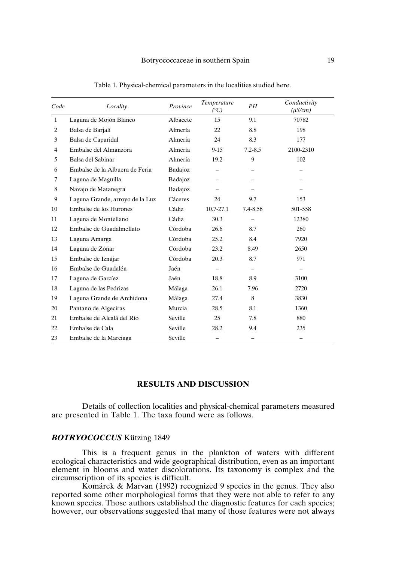| Code           | Locality                        | Province | Temperature<br>$({}^oC)$ | PH                       | Conductivity<br>$(\mu S/cm)$ |
|----------------|---------------------------------|----------|--------------------------|--------------------------|------------------------------|
| 1              | Laguna de Mojón Blanco          | Albacete | 15                       | 9.1                      | 70782                        |
| $\overline{c}$ | Balsa de Barjalí                | Almería  | 22                       | 8.8                      | 198                          |
| 3              | Balsa de Caparidal              | Almería  | 24                       | 8.3                      | 177                          |
| $\overline{4}$ | Embalse del Almanzora           | Almería  | $9-15$                   | $7.2 - 8.5$              | 2100-2310                    |
| 5              | Balsa del Sabinar               | Almería  | 19.2                     | 9                        | 102                          |
| 6              | Embalse de la Albuera de Feria  | Badajoz  |                          |                          |                              |
| 7              | Laguna de Maguilla              | Badajoz  |                          |                          |                              |
| 8              | Navajo de Matanegra             | Badajoz  |                          |                          |                              |
| 9              | Laguna Grande, arroyo de la Luz | Cáceres  | 24                       | 9.7                      | 153                          |
| 10             | Embalse de los Hurones          | Cádiz    | 10.7-27.1                | 7.4-8.56                 | 501-558                      |
| 11             | Laguna de Montellano            | Cádiz    | 30.3                     |                          | 12380                        |
| 12             | Embalse de Guadalmellato        | Córdoba  | 26.6                     | 8.7                      | 260                          |
| 13             | Laguna Amarga                   | Córdoba  | 25.2                     | 8.4                      | 7920                         |
| 14             | Laguna de Zóñar                 | Córdoba  | 23.2                     | 8.49                     | 2650                         |
| 15             | Embalse de Iznájar              | Córdoba  | 20.3                     | 8.7                      | 971                          |
| 16             | Embalse de Guadalén             | Jaén     |                          | $\overline{\phantom{0}}$ |                              |
| 17             | Laguna de Garcíez               | Jaén     | 18.8                     | 8.9                      | 3100                         |
| 18             | Laguna de las Pedrizas          | Málaga   | 26.1                     | 7.96                     | 2720                         |
| 19             | Laguna Grande de Archidona      | Málaga   | 27.4                     | 8                        | 3830                         |
| 20             | Pantano de Algeciras            | Murcia   | 28.5                     | 8.1                      | 1360                         |
| 21             | Embalse de Alcalá del Río       | Seville  | 25                       | 7.8                      | 880                          |
| 22             | Embalse de Cala                 | Seville  | 28.2                     | 9.4                      | 235                          |
| 23             | Embalse de la Marciaga          | Seville  |                          | $\overline{\phantom{0}}$ |                              |

Table 1. Physical-chemical parameters in the localities studied here.

## **RESULTS AND DISCUSSION**

Details of collection localities and physical-chemical parameters measured are presented in Table 1. The taxa found were as follows.

## *BOTRYOCOCCUS* Kützing 1849

This is a frequent genus in the plankton of waters with different ecological characteristics and wide geographical distribution, even as an important element in blooms and water discolorations. Its taxonomy is complex and the circumscription of its species is difficult.

Komárek & Marvan (1992) recognized 9 species in the genus. They also reported some other morphological forms that they were not able to refer to any known species. Those authors established the diagnostic features for each species; however, our observations suggested that many of those features were not always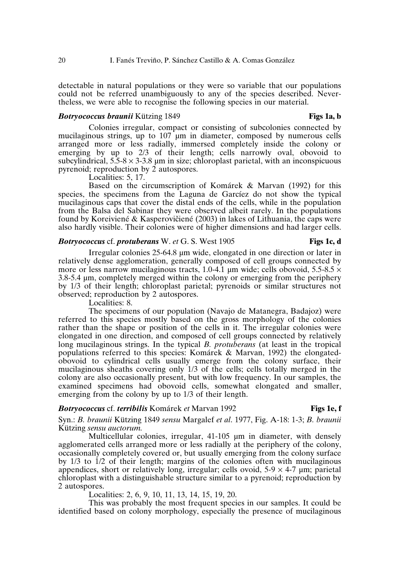detectable in natural populations or they were so variable that our populations could not be referred unambiguously to any of the species described. Nevertheless, we were able to recognise the following species in our material.

## *Botryococcus braunii* Kützing 1849 **Figs 1a, b**

Colonies irregular, compact or consisting of subcolonies connected by mucilaginous strings, up to  $107 \mu m$  in diameter, composed by numerous cells arranged more or less radially, immersed completely inside the colony or emerging by up to 2/3 of their length; cells narrowly oval, obovoid to subcylindrical,  $5.5-8 \times 3-3.8$  µm in size; chloroplast parietal, with an inconspicuous pyrenoid; reproduction by 2 autospores.

Localities: 5, 17.

Based on the circumscription of Komárek & Marvan (1992) for this species, the specimens from the Laguna de Garcíez do not show the typical mucilaginous caps that cover the distal ends of the cells, while in the population from the Balsa del Sabinar they were observed albeit rarely. In the populations found by Koreiviené & Kasperovičiené (2003) in lakes of Lithuania, the caps were also hardly visible. Their colonies were of higher dimensions and had larger cells.

## *Botryococcus* cf. *protuberans* W. *et* G. S. West 1905 **Figs 1c, d**

Irregular colonies 25-64.8 µm wide, elongated in one direction or later in relatively dense agglomeration, generally composed of cell groups connected by more or less narrow mucilaginous tracts, 1.0-4.1 µm wide; cells obovoid, 5.5-8.5  $\times$ 3.8-5.4 µm, completely merged within the colony or emerging from the periphery by 1/3 of their length; chloroplast parietal; pyrenoids or similar structures not observed; reproduction by 2 autospores.

Localities: 8.

The specimens of our population (Navajo de Matanegra, Badajoz) were referred to this species mostly based on the gross morphology of the colonies rather than the shape or position of the cells in it. The irregular colonies were elongated in one direction, and composed of cell groups connected by relatively long mucilaginous strings. In the typical *B. protuberans* (at least in the tropical populations referred to this species: Komárek & Marvan, 1992) the elongatedobovoid to cylindrical cells usually emerge from the colony surface, their mucilaginous sheaths covering only 1/3 of the cells; cells totally merged in the colony are also occasionally present, but with low frequency. In our samples, the examined specimens had obovoid cells, somewhat elongated and smaller, emerging from the colony by up to 1/3 of their length.

## *Botryococcus* cf. *terribilis* Komárek *et* Marvan 1992 **Figs 1e, f**

Syn.: *B. braunii* Kützing 1849 *sensu* Margalef *et al*. 1977, Fig. A-18: 1-3; *B. braunii* Kützing *sensu auctorum.*

Multicellular colonies, irregular, 41-105 µm in diameter, with densely agglomerated cells arranged more or less radially at the periphery of the colony, occasionally completely covered or, but usually emerging from the colony surface by 1/3 to 1/2 of their length; margins of the colonies often with mucilaginous appendices, short or relatively long, irregular; cells ovoid,  $5-9 \times 4-7$  µm; parietal chloroplast with a distinguishable structure similar to a pyrenoid; reproduction by 2 autospores.

Localities: 2, 6, 9, 10, 11, 13, 14, 15, 19, 20.

This was probably the most frequent species in our samples. It could be identified based on colony morphology, especially the presence of mucilaginous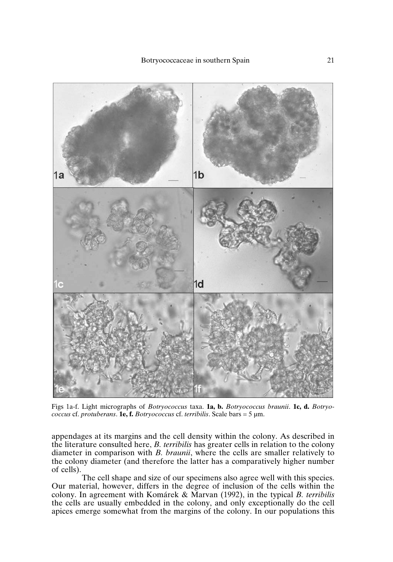

Figs 1a-f. Light micrographs of *Botryococcus* taxa. **1a, b.** *Botryococcus braunii*. **1c, d.** *Botryococcus* cf. *protuberans*. **1e, f.** *Botryococcus* cf. *terribilis*. Scale bars = 5 µm.

appendages at its margins and the cell density within the colony. As described in the literature consulted here, *B. terribilis* has greater cells in relation to the colony diameter in comparison with *B. braunii*, where the cells are smaller relatively to the colony diameter (and therefore the latter has a comparatively higher number of cells).

The cell shape and size of our specimens also agree well with this species. Our material, however, differs in the degree of inclusion of the cells within the colony. In agreement with Komárek & Marvan (1992), in the typical *B. terribilis* the cells are usually embedded in the colony, and only exceptionally do the cell apices emerge somewhat from the margins of the colony. In our populations this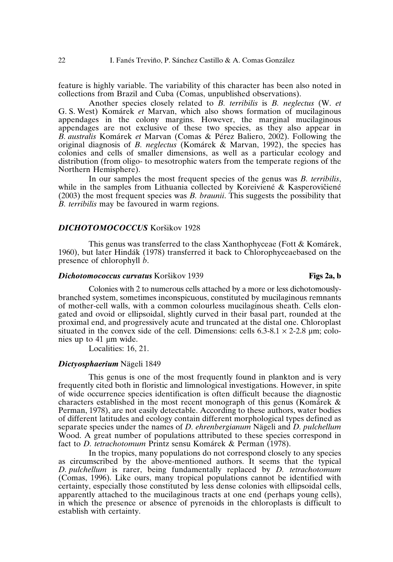feature is highly variable. The variability of this character has been also noted in collections from Brazil and Cuba (Comas, unpublished observations).

Another species closely related to *B. terribilis* is *B. neglectus* (W. *et* G. S. West) Komárek *et* Marvan, which also shows formation of mucilaginous appendages in the colony margins. However, the marginal mucilaginous appendages are not exclusive of these two species, as they also appear in *B. australis* Komárek *et* Marvan (Comas & Pérez Baliero, 2002). Following the original diagnosis of *B. neglectus* (Komárek & Marvan, 1992), the species has colonies and cells of smaller dimensions, as well as a particular ecology and distribution (from oligo- to mesotrophic waters from the temperate regions of the Northern Hemisphere).

In our samples the most frequent species of the genus was *B. terribilis*, while in the samples from Lithuania collected by Koreiviené  $\&$  Kasperovičiené (2003) the most frequent species was *B. braunii*. This suggests the possibility that *B. terribilis* may be favoured in warm regions.

## **DICHOTOMOCOCCUS** Koršikov 1928

This genus was transferred to the class Xanthophyceae (Fott & Komárek, 1960), but later Hindák (1978) transferred it back to Chlorophyceaebased on the presence of chlorophyll *b*.

## **Dichotomococcus** curvatus Koršikov 1939 **Figs 2a, b Figs 2a, b**

Colonies with 2 to numerous cells attached by a more or less dichotomouslybranched system, sometimes inconspicuous, constituted by mucilaginous remnants of mother-cell walls, with a common colourless mucilaginous sheath. Cells elongated and ovoid or ellipsoidal, slightly curved in their basal part, rounded at the proximal end, and progressively acute and truncated at the distal one. Chloroplast situated in the convex side of the cell. Dimensions: cells  $6.3-8.1 \times 2-2.8$  µm; colonies up to 41 µm wide.

Localities: 16, 21.

## *Dictyosphaerium* Nägeli 1849

This genus is one of the most frequently found in plankton and is very frequently cited both in floristic and limnological investigations. However, in spite of wide occurrence species identification is often difficult because the diagnostic characters established in the most recent monograph of this genus (Komárek & Perman, 1978), are not easily detectable. According to these authors, water bodies of different latitudes and ecology contain different morphological types defined as separate species under the names of *D. ehrenbergianum* Nägeli and *D. pulchellum* Wood. A great number of populations attributed to these species correspond in fact to *D. tetrachotomum* Printz sensu Komárek & Perman (1978).

In the tropics, many populations do not correspond closely to any species as circumscribed by the above-mentioned authors. It seems that the typical *D. pulchellum* is rarer, being fundamentally replaced by *D. tetrachotomum* (Comas, 1996). Like ours, many tropical populations cannot be identified with certainty, especially those constituted by less dense colonies with ellipsoidal cells, apparently attached to the mucilaginous tracts at one end (perhaps young cells), in which the presence or absence of pyrenoids in the chloroplasts is difficult to establish with certainty.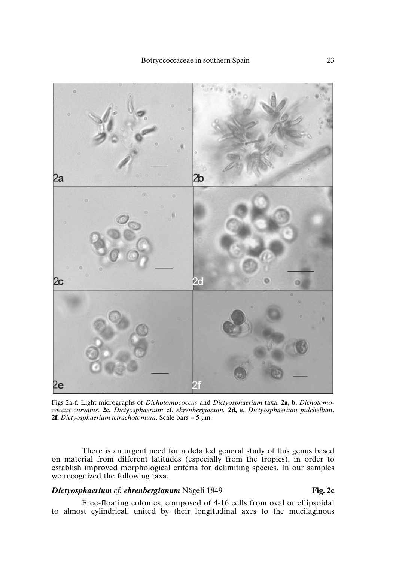

Figs 2a-f. Light micrographs of *Dichotomococcus* and *Dictyosphaerium* taxa. **2a, b.** *Dichotomococcus curvatus*. **2c.** *Dictyosphaerium* cf. *ehrenbergianum.* **2d, e.** *Dictyosphaerium pulchellum*. **2f.** *Dictyosphaerium tetrachotomum*. Scale bars = 5 µm.

There is an urgent need for a detailed general study of this genus based on material from different latitudes (especially from the tropics), in order to establish improved morphological criteria for delimiting species. In our samples we recognized the following taxa.

## *Dictyosphaerium cf. ehrenbergianum* Nägeli 1849 **Fig. 2c**

Free-floating colonies, composed of 4-16 cells from oval or ellipsoidal to almost cylindrical, united by their longitudinal axes to the mucilaginous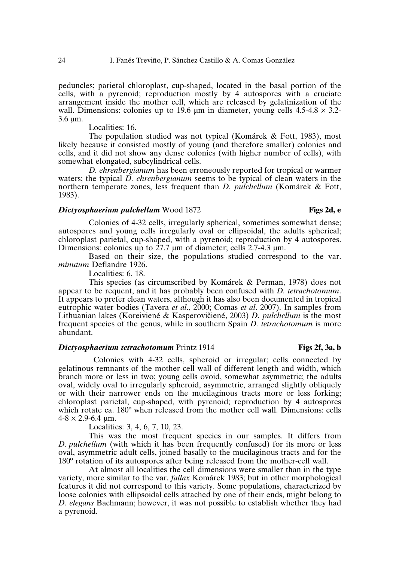peduncles; parietal chloroplast, cup-shaped, located in the basal portion of the cells, with a pyrenoid; reproduction mostly by 4 autospores with a cruciate arrangement inside the mother cell, which are released by gelatinization of the wall. Dimensions: colonies up to 19.6 um in diameter, young cells  $4.5{\text -}4.8 \times 3.2{\text -}4.8$ 3.6 µm.

Localities: 16.

The population studied was not typical (Komárek & Fott, 1983), most likely because it consisted mostly of young (and therefore smaller) colonies and cells, and it did not show any dense colonies (with higher number of cells), with somewhat elongated, subcylindrical cells.

*D. ehrenbergianum* has been erroneously reported for tropical or warmer waters; the typical *D. ehrenbergianum* seems to be typical of clean waters in the northern temperate zones, less frequent than *D. pulchellum* (Komárek & Fott, 1983).

## *Dictyosphaerium pulchellum* Wood 1872 **Figs 2d, e**

Colonies of 4-32 cells, irregularly spherical, sometimes somewhat dense; autospores and young cells irregularly oval or ellipsoidal, the adults spherical; chloroplast parietal, cup-shaped, with a pyrenoid; reproduction by 4 autospores. Dimensions: colonies up to  $27.7 \mu m$  of diameter; cells 2.7-4.3  $\mu m$ .

Based on their size, the populations studied correspond to the var. *minutum* Deflandre 1926.

Localities: 6, 18.

This species (as circumscribed by Komárek & Perman, 1978) does not appear to be requent, and it has probably been confused with *D. tetrachotomum*. It appears to prefer clean waters, although it has also been documented in tropical eutrophic water bodies (Tavera *et al*., 2000; Comas *et al*. 2007). In samples from Lithuanian lakes (Koreiviené & Kasperovičiené, 2003) *D. pulchellum* is the most frequent species of the genus, while in southern Spain *D. tetrachotomum* is more abundant.

## *Dictyosphaerium tetrachotomum* Printz 1914 **Figs 2f, 3a, b**

## Colonies with 4-32 cells, spheroid or irregular; cells connected by gelatinous remnants of the mother cell wall of different length and width, which branch more or less in two; young cells ovoid, somewhat asymmetric; the adults oval, widely oval to irregularly spheroid, asymmetric, arranged slightly obliquely or with their narrower ends on the mucilaginous tracts more or less forking; chloroplast parietal, cup-shaped, with pyrenoid; reproduction by 4 autospores which rotate ca.  $180^{\circ}$  when released from the mother cell wall. Dimensions: cells  $4-8 \times 2.9 - 6.4 \text{ }\mu\text{m}$ .

Localities: 3, 4, 6, 7, 10, 23.

This was the most frequent species in our samples. It differs from *D. pulchellum* (with which it has been frequently confused) for its more or less oval, asymmetric adult cells, joined basally to the mucilaginous tracts and for the 180º rotation of its autospores after being released from the mother-cell wall.

At almost all localities the cell dimensions were smaller than in the type variety, more similar to the var. *fallax* Komárek 1983; but in other morphological features it did not correspond to this variety. Some populations, characterized by loose colonies with ellipsoidal cells attached by one of their ends, might belong to *D. elegans* Bachmann; however, it was not possible to establish whether they had a pyrenoid.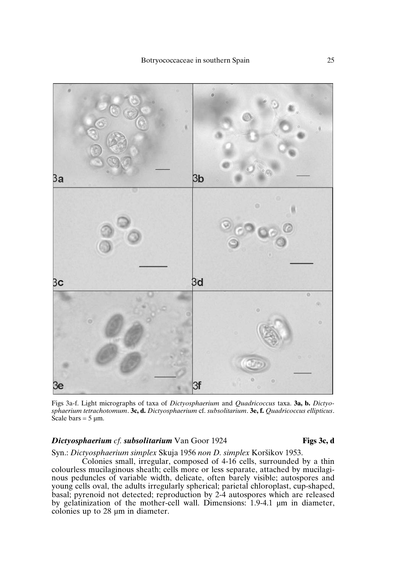

Figs 3a-f. Light micrographs of taxa of *Dictyosphaerium* and *Quadricoccus* taxa. **3a, b.** *Dictyosphaerium tetrachotomum*. **3c, d.** *Dictyosphaerium* cf. *subsolitarium*. **3e, f.** *Quadricoccus ellipticus*. Scale bars =  $5 \mu m$ .

## *Dictyosphaerium cf. subsolitarium* Van Goor 1924 **Figs 3c, d**

Syn.: *Dictyosphaerium simplex* Skuja 1956 non *D. simplex* Koršikov 1953.

Colonies small, irregular, composed of 4-16 cells, surrounded by a thin colourless mucilaginous sheath; cells more or less separate, attached by mucilaginous peduncles of variable width, delicate, often barely visible; autospores and young cells oval, the adults irregularly spherical; parietal chloroplast, cup-shaped, basal; pyrenoid not detected; reproduction by 2-4 autospores which are released by gelatinization of the mother-cell wall. Dimensions: 1.9-4.1 µm in diameter, colonies up to 28 µm in diameter.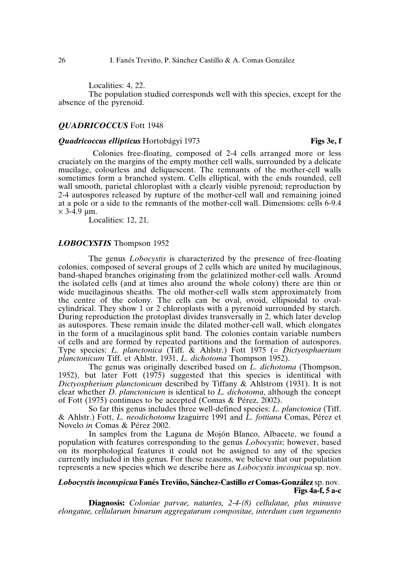Localities: 4, 22.

The population studied corresponds well with this species, except for the absence of the pyrenoid.

## *QUADRICOCCUS* Fott 1948

## *Quadricoccus ellipticus* Hortobágyi 1973 **Figs 3e, f**

Colonies free-floating, composed of 2-4 cells arranged more or less cruciately on the margins of the empty mother cell walls, surrounded by a delicate mucilage, colourless and deliquescent. The remnants of the mother-cell walls sometimes form a branched system. Cells elliptical, with the ends rounded, cell wall smooth, parietal chloroplast with a clearly visible pyrenoid; reproduction by 2-4 autospores released by rupture of the mother-cell wall and remaining joined at a pole or a side to the remnants of the mother-cell wall. Dimensions: cells 6-9.4  $\times$  3-4.9 um.

Localities: 12, 21.

## *LOBOCYSTIS* Thompson 1952

The genus *Lobocystis* is characterized by the presence of free-floating colonies, composed of several groups of 2 cells which are united by mucilaginous, band-shaped branches originating from the gelatinized mother-cell walls. Around the isolated cells (and at times also around the whole colony) there are thin or wide mucilaginous sheaths. The old mother-cell walls stem approximately from the centre of the colony. The cells can be oval, ovoid, ellipsoidal to ovalcylindrical. They show 1 or 2 chloroplasts with a pyrenoid surrounded by starch. During reproduction the protoplast divides transversally in 2, which later develop as autospores. These remain inside the dilated mother-cell wall, which elongates in the form of a mucilaginous split band. The colonies contain variable numbers of cells and are formed by repeated partitions and the formation of autospores. Type species: *L. planctonica* (Tiff. & Ahlstr.) Fott 1975 (= *Dictyosphaerium planctonicum* Tiff. et Ahlstr. 1931, *L. dichotoma* Thompson 1952).

The genus was originally described based on *L. dichotoma* (Thompson, 1952), but later Fott (1975) suggested that this species is identitical with *Dictyospherium planctonicum* described by Tiffany & Ahlstrom (1931). It is not clear whether *D. planctonicum* is identical to *L. dichotoma*, although the concept of Fott (1975) continues to be accepted (Comas & Pérez, 2002).

So far this genus includes three well-defined species: *L. planctonica* (Tiff. & Ahlstr.) Fott, *L. neodichotoma* Izaguirre 1991 and *L. fottiana* Comas, Pérez et Novelo *in* Comas & Pérez 2002.

In samples from the Laguna de Mojón Blanco, Albacete, we found a population with features corresponding to the genus *Lobocystis*; however, based on its morphological features it could not be assigned to any of the species currently included in this genus. For these reasons, we believe that our population represents a new species which we describe here as *Lobocystis incospicua* sp. nov.

## *Lobocystis inconspicua* **Fanés Treviño, Sánchez-Castillo** *et* **Comas-González** sp. nov. **Figs 4a-f, 5 a-c**

**Diagnosis:** *Coloniae parvae, natantes, 2-4-(8) cellulatae, plus minusve elongatae, cellularum binarum aggregatarum compositae, interdum cum tegumento*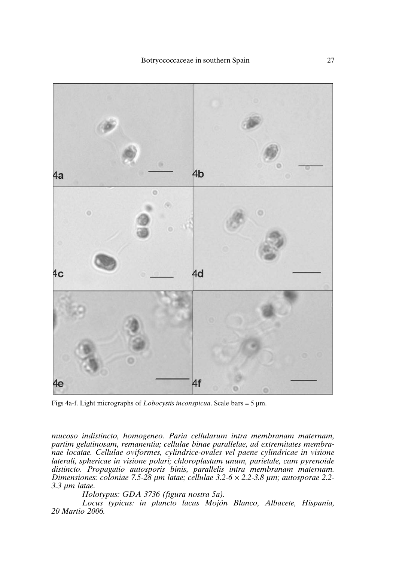

Figs 4a-f. Light micrographs of *Lobocystis inconspicua*. Scale bars = 5 µm.

*mucoso indistincto, homogeneo. Paria cellularum intra membranam maternam, partim gelatinosam, remanentia; cellulae binae parallelae, ad extremitates membranae locatae. Cellulae oviformes, cylindrice-ovales vel paene cylindricae in visione laterali, sphericae in visione polari; chloroplastum unum, parietale, cum pyrenoide distincto. Propagatio autosporis binis, parallelis intra membranam maternam. Dimensiones: coloniae 7.5-28 µm latae; cellulae 3.2-6* × *2.2-3.8 µm; autosporae 2.2- 3.3 µm latae.*

*Holotypus: GDA 3736 (figura nostra 5a).*

*Locus typicus: in plancto lacus Mojón Blanco, Albacete, Hispania, 20 Martio 2006.*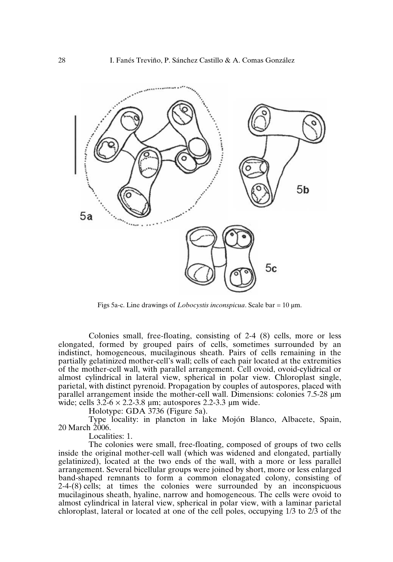

Figs 5a-c. Line drawings of *Lobocystis inconspicua*. Scale bar = 10 µm.

Colonies small, free-floating, consisting of 2-4 (8) cells, more or less elongated, formed by grouped pairs of cells, sometimes surrounded by an indistinct, homogeneous, mucilaginous sheath. Pairs of cells remaining in the partially gelatinized mother-cell's wall; cells of each pair located at the extremities of the mother-cell wall, with parallel arrangement. Cell ovoid, ovoid-cylidrical or almost cylindrical in lateral view, spherical in polar view. Chloroplast single, parietal, with distinct pyrenoid. Propagation by couples of autospores, placed with parallel arrangement inside the mother-cell wall. Dimensions: colonies 7.5-28 µm wide; cells  $3.2-6 \times 2.2-3.8$  µm; autospores 2.2-3.3 µm wide.

Holotype: GDA 3736 (Figure 5a).

Type locality: in plancton in lake Mojón Blanco, Albacete, Spain, 20 March 2006.

Localities: 1.

The colonies were small, free-floating, composed of groups of two cells inside the original mother-cell wall (which was widened and elongated, partially gelatinized), located at the two ends of the wall, with a more or less parallel arrangement. Several bicellular groups were joined by short, more or less enlarged band-shaped remnants to form a common elonagated colony, consisting of 2-4-(8) cells; at times the colonies were surrounded by an inconspicuous mucilaginous sheath, hyaline, narrow and homogeneous. The cells were ovoid to almost cylindrical in lateral view, spherical in polar view, with a laminar parietal chloroplast, lateral or located at one of the cell poles, occupying 1/3 to 2/3 of the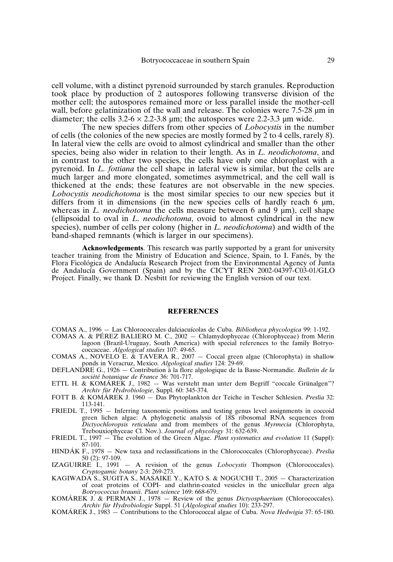cell volume, with a distinct pyrenoid surrounded by starch granules. Reproduction took place by production of 2 autospores following transverse division of the mother cell; the autospores remained more or less parallel inside the mother-cell wall, before gelatinization of the wall and release. The colonies were 7.5-28 um in diameter; the cells  $3.2 - 6 \times 2.2 - 3.8$  um; the autospores were 2.2-3.3 um wide.

The new species differs from other species of *Lobocystis* in the number of cells (the colonies of the new species are mostly formed by 2 to 4 cells, rarely 8). In lateral view the cells are ovoid to almost cylindrical and smaller than the other species, being also wider in relation to their length. As in *L. neodichotoma*, and in contrast to the other two species, the cells have only one chloroplast with a pyrenoid. In *L. fottiana* the cell shape in lateral view is similar, but the cells are much larger and more elongated, sometimes asymmetrical, and the cell wall is thickened at the ends; these features are not observable in the new species. *Lobocystis neodichotoma* is the most similar species to our new species but it differs from it in dimensions (in the new species cells of hardly reach 6  $\mu$ m, whereas in *L. neodichotoma* the cells measure between 6 and 9  $\mu$ m), cell shape (ellipsoidal to oval in *L. neodichotoma*, ovoid to almost cylindrical in the new species), number of cells per colony (higher in *L. neodichotoma*) and width of the band-shaped remnants (which is larger in our specimens).

**Acknowledgements**. This research was partly supported by a grant for university teacher training from the Ministry of Education and Science, Spain, to I. Fanés, by the Flora Ficológica de Andalucía Research Project from the Environmental Agency of Junta de Andalucía Government (Spain) and by the CICYT REN 2002-04397-C03-01/GLO Project. Finally, we thank D. Nesbitt for reviewing the English version of our text.

## **REFERENCES**

COMAS A., 1996 — Las Chlorococcales dulciacuícolas de Cuba. *Bibliotheca phycologica* 99: 1-192.

- COMAS A. & PÉREZ BALIERO M. C., 2002 Chlamydophyceae (Chlorophyceae) from Merin lagoon (Brazil-Uruguay, South America) with special references to the family Botryococcaceae. *Algological studies* 107: 49-65.
- COMAS A., NOVELO E. & TAVERA R., 2007 Coccal green algae (Chlorophyta) in shallow ponds in Veracruz, Mexico. *Algological studies* 124: 29-69.
- DEFLANDRE G., 1926 Contribution à la flore algologique de la Basse-Normandie. *Bulletin de la société botanique de France* 36: 701-717.
- ETTL H. & KOMÁREK J., 1982 Was versteht man unter dem Begriff "coccale Grünalgen"? *Archiv für Hydrobiologie*, Suppl. 60: 345-374.
- FOTT B. & KOMÁREK J. 1960 Das Phytoplankton der Teiche in Tescher Schlesien. *Preslia* 32: 113-141.
- FRIEDL T., 1995 Inferring taxonomic positions and testing genus level assignments in coccoid green lichen algae: A phylogenetic analysis of 18S ribosomal RNA sequences from *Dictyochloropsis reticulata* and from members of the genus *Myrmecia* (Chlorophyta, Trebouxiophyceae Cl. Nov.). *Journal of phycology* 31: 632-639.
- FRIEDL T., 1997 The evolution of the Green Algae. *Plant systematics and evolution* 11 (Suppl): 87-101.
- HINDÁK F., 1978 New taxa and reclassifications in the Chlorococcales (Chlorophyceae). *Preslia* 50 (2): 97-109.
- IZAGUIRRE I., 1991 A revision of the genus *Lobocystis* Thompson (Chlorococcales). *Cryptogamic botany* 2-3: 269-273.
- KAGIWADA S., SUGITA S., MASAIKE Y., KATO S. & NOGUCHI T., 2005 Characterization of coat proteins of COPI- and clathrin-coated vesicles in the unicellular green alga *Botryococcus braunii*. *Plant science* 169: 668-679.
- KOMÁREK J. & PERMAN J., 1978 Review of the genus *Dictyosphaerium* (Chlorococcales). *Archiv für Hydrobiologie* Suppl. 51 (*Algological studies* 10): 233-297.
- KOMÁREK J., 1983 Contributions to the Chlorococcal algae of Cuba. *Nova Hedwigia* 37: 65-180.